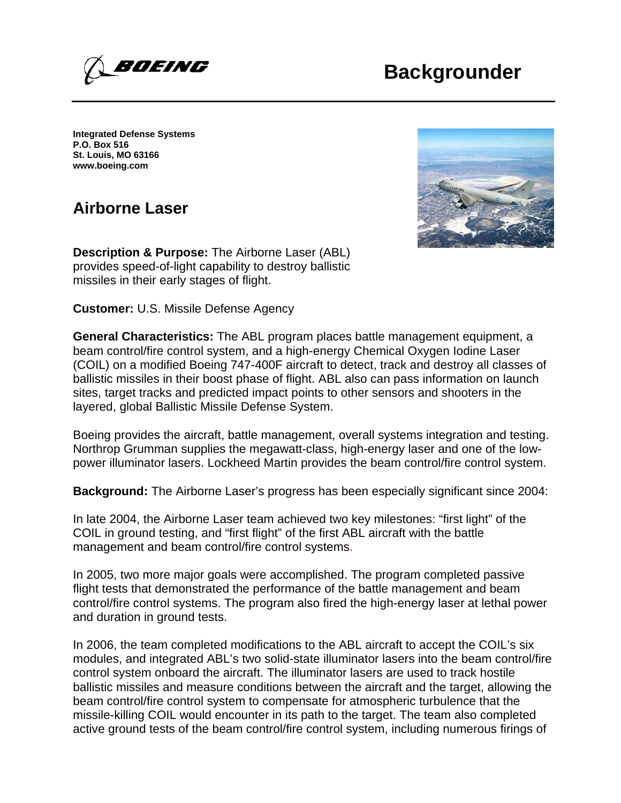## **Backgrounder**



**Integrated Defense Systems P.O. Box 516 St. Louis, MO 63166 www.boeing.com**

## **Airborne Laser**

**Description & Purpose:** The Airborne Laser (ABL) provides speed-of-light capability to destroy ballistic missiles in their early stages of flight.

**Customer:** U.S. Missile Defense Agency

**General Characteristics:** The ABL program places battle management equipment, a beam control/fire control system, and a high-energy Chemical Oxygen Iodine Laser (COIL) on a modified Boeing 747-400F aircraft to detect, track and destroy all classes of ballistic missiles in their boost phase of flight. ABL also can pass information on launch sites, target tracks and predicted impact points to other sensors and shooters in the layered, global Ballistic Missile Defense System.

Boeing provides the aircraft, battle management, overall systems integration and testing. Northrop Grumman supplies the megawatt-class, high-energy laser and one of the lowpower illuminator lasers. Lockheed Martin provides the beam control/fire control system.

**Background:** The Airborne Laser's progress has been especially significant since 2004:

In late 2004, the Airborne Laser team achieved two key milestones: "first light" of the COIL in ground testing, and "first flight" of the first ABL aircraft with the battle management and beam control/fire control systems.

In 2005, two more major goals were accomplished. The program completed passive flight tests that demonstrated the performance of the battle management and beam control/fire control systems. The program also fired the high-energy laser at lethal power and duration in ground tests.

In 2006, the team completed modifications to the ABL aircraft to accept the COIL's six modules, and integrated ABL's two solid-state illuminator lasers into the beam control/fire control system onboard the aircraft. The illuminator lasers are used to track hostile ballistic missiles and measure conditions between the aircraft and the target, allowing the beam control/fire control system to compensate for atmospheric turbulence that the missile-killing COIL would encounter in its path to the target. The team also completed active ground tests of the beam control/fire control system, including numerous firings of